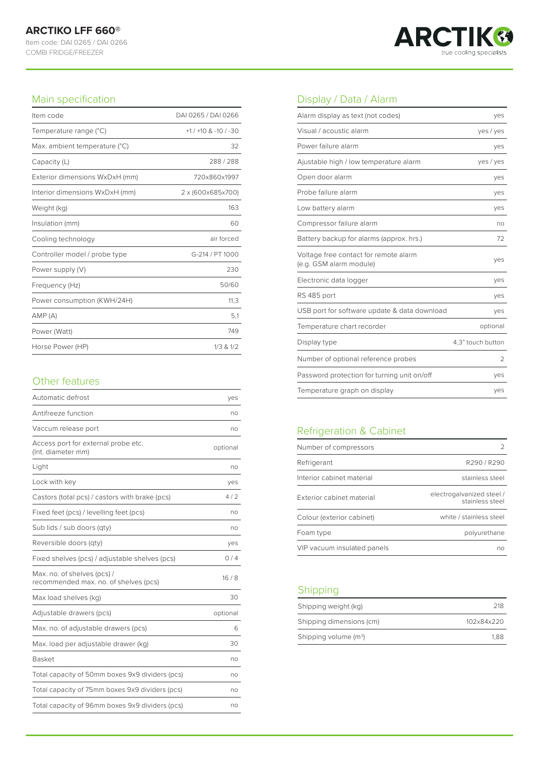COMBI FRIDGE/FREEZER



### Main specification

| Item code                      | DAI 0265 / DAI 0266   |
|--------------------------------|-----------------------|
| Temperature range (°C)         | $+1/+10$ & $-10/ -30$ |
| Max. ambient temperature (°C)  | 32                    |
| Capacity (L)                   | 288/288               |
| Exterior dimensions WxDxH (mm) | 720x860x1997          |
| Interior dimensions WxDxH (mm) | 2 x (600x685x700)     |
| Weight (kg)                    | 163                   |
| Insulation (mm)                | 60                    |
| Cooling technology             | air forced            |
| Controller model / probe type  | G-214 / PT 1000       |
| Power supply (V)               | 230                   |
| Frequency (Hz)                 | 50/60                 |
| Power consumption (KWH/24H)    | 11,3                  |
| AMP(A)                         | 5,1                   |
| Power (Watt)                   | 749                   |
| Horse Power (HP)               | $1/3$ & $1/2$         |

#### Other features

| Automatic defrost                                                    | yes      |
|----------------------------------------------------------------------|----------|
| Antifreeze function                                                  | no       |
| Vaccum release port                                                  | no       |
| Access port for external probe etc.<br>(Int. diameter mm)            | optional |
| Light                                                                | no       |
| Lock with key                                                        | yes      |
| Castors (total pcs) / castors with brake (pcs)                       | 4/2      |
| Fixed feet (pcs) / levelling feet (pcs)                              | no       |
| Sub lids / sub doors (qty)                                           | no       |
| Reversible doors (qty)                                               | yes      |
| Fixed shelves (pcs) / adjustable shelves (pcs)                       | 0/4      |
| Max. no. of shelves (pcs) /<br>recommended max. no. of shelves (pcs) | 16/8     |
| Max load shelves (kg)                                                | 30       |
| Adjustable drawers (pcs)                                             | optional |
| Max. no. of adjustable drawers (pcs)                                 | 6        |
| Max. load per adjustable drawer (kg)                                 | 30       |
| <b>Basket</b>                                                        | no       |
| Total capacity of 50mm boxes 9x9 dividers (pcs)                      | no       |
| Total capacity of 75mm boxes 9x9 dividers (pcs)                      | no       |
| Total capacity of 96mm boxes 9x9 dividers (pcs)                      | no       |

# Display / Data / Alarm

| Alarm display as text (not codes)                                | yes               |
|------------------------------------------------------------------|-------------------|
| Visual / acoustic alarm                                          | yes / yes         |
| Power failure alarm                                              | yes               |
| Ajustable high / low temperature alarm                           | yes / yes         |
| Open door alarm                                                  | yes               |
| Probe failure alarm                                              | yes               |
| Low battery alarm                                                | yes               |
| Compressor failure alarm                                         | no                |
| Battery backup for alarms (approx. hrs.)                         | 72                |
| Voltage free contact for remote alarm<br>(e.g. GSM alarm module) | yes               |
| Electronic data logger                                           | yes               |
| RS 485 port                                                      | yes               |
| USB port for software update & data download                     | yes               |
| Temperature chart recorder                                       | optional          |
| Display type                                                     | 4.3" touch button |
| Number of optional reference probes                              | $\mathfrak{D}$    |
| Password protection for turning unit on/off                      | yes               |
| Temperature graph on display                                     | yes               |

# Refrigeration & Cabinet

| Number of compressors       |                                              |
|-----------------------------|----------------------------------------------|
| Refrigerant                 | R290/R290                                    |
| Interior cabinet material   | stainless steel                              |
| Exterior cabinet material   | electrogalvanized steel /<br>stainless steel |
| Colour (exterior cabinet)   | white / stainless steel                      |
| Foam type                   | polyurethane                                 |
| VIP vacuum insulated panels | nn                                           |

## Shipping

| Shipping weight (kg)     | 218        |
|--------------------------|------------|
| Shipping dimensions (cm) | 102x84x220 |
| Shipping volume $(m^3)$  | 1.88       |